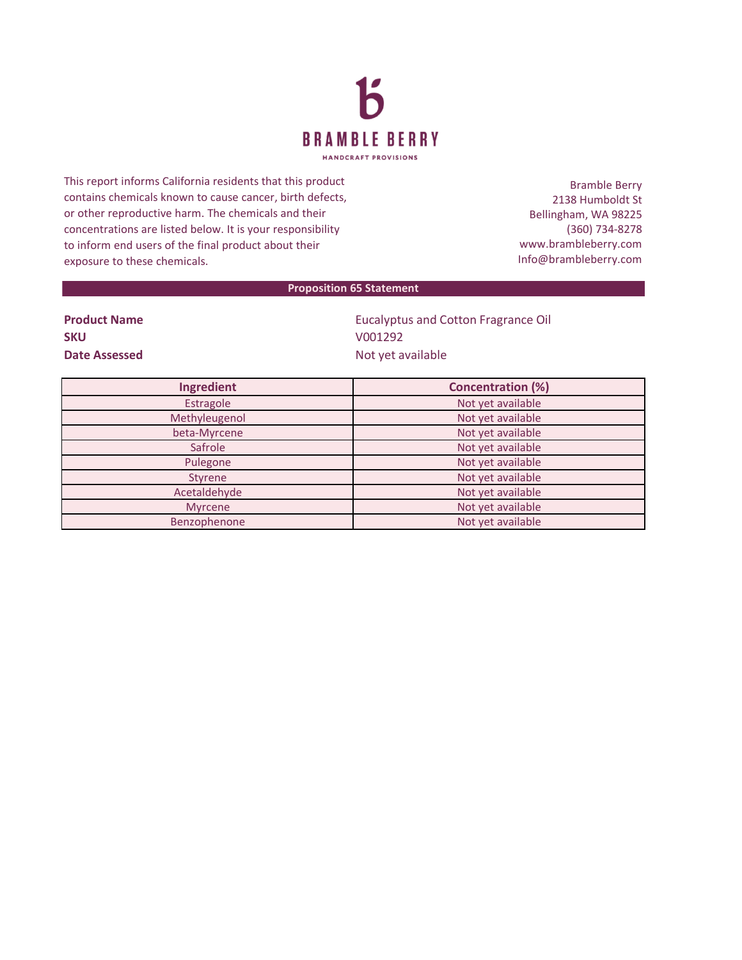

This report informs California residents that this product contains chemicals known to cause cancer, birth defects, or other reproductive harm. The chemicals and their concentrations are listed below. It is your responsibility to inform end users of the final product about their exposure to these chemicals.

Bramble Berry 2138 Humboldt St Bellingham, WA 98225 (360) 734-8278 www.brambleberry.com Info@brambleberry.com

## **Proposition 65 Statement**

| <b>Product Name</b> |  |
|---------------------|--|
| <b>SKU</b>          |  |
| Date Assessed       |  |

**Eucalyptus and Cotton Fragrance Oil SKU** V001292 **Date Assessed** Not yet available

| Ingredient     | <b>Concentration (%)</b> |
|----------------|--------------------------|
| Estragole      | Not yet available        |
| Methyleugenol  | Not yet available        |
| beta-Myrcene   | Not yet available        |
| Safrole        | Not yet available        |
| Pulegone       | Not yet available        |
| Styrene        | Not yet available        |
| Acetaldehyde   | Not yet available        |
| <b>Myrcene</b> | Not yet available        |
| Benzophenone   | Not yet available        |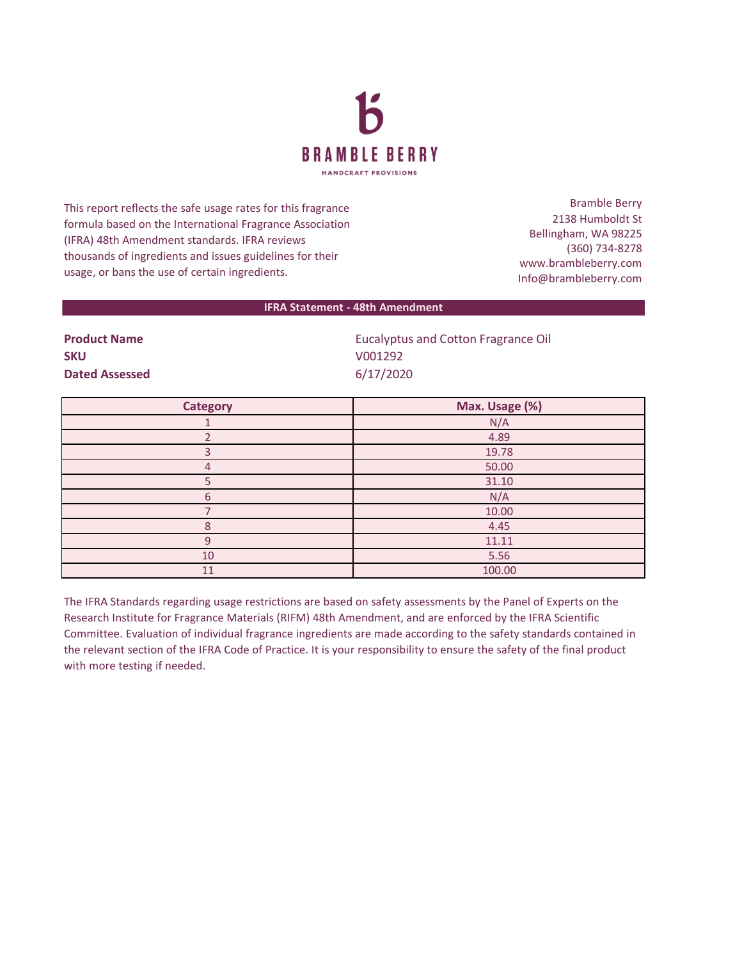

This report reflects the safe usage rates for this fragrance formula based on the International Fragrance Association (IFRA) 48th Amendment standards. IFRA reviews thousands of ingredients and issues guidelines for their usage, or bans the use of certain ingredients.

Bramble Berry 2138 Humboldt St Bellingham, WA 98225 (360) 734-8278 www.brambleberry.com Info@brambleberry.com

## **IFRA Statement - 48th Amendment**

**SKU** V001292 **Dated Assessed** 6/17/2020

**Product Name EUCAL EUCAL PRODUCT A PRODUCT A LIGAN EUCAL PRODUCT A LIGAN PRODUCT A LIGAN PRODUCT A LIGAN PRODUCT A LIGAN PRODUCT A LIGAN PRODUCT A LIGAN PRODUCT A LIGAN PRODUCT A LIGAN PRODUCT A LIGAN PRODUCT A LIGAN PR** 

| <b>Category</b> | Max. Usage (%) |
|-----------------|----------------|
|                 | N/A            |
|                 | 4.89           |
| З               | 19.78          |
| 4               | 50.00          |
|                 | 31.10          |
| 6               | N/A            |
|                 | 10.00          |
| Ջ               | 4.45           |
| 9               | 11.11          |
| 10              | 5.56           |
| 11              | 100.00         |

The IFRA Standards regarding usage restrictions are based on safety assessments by the Panel of Experts on the Research Institute for Fragrance Materials (RIFM) 48th Amendment, and are enforced by the IFRA Scientific Committee. Evaluation of individual fragrance ingredients are made according to the safety standards contained in the relevant section of the IFRA Code of Practice. It is your responsibility to ensure the safety of the final product with more testing if needed.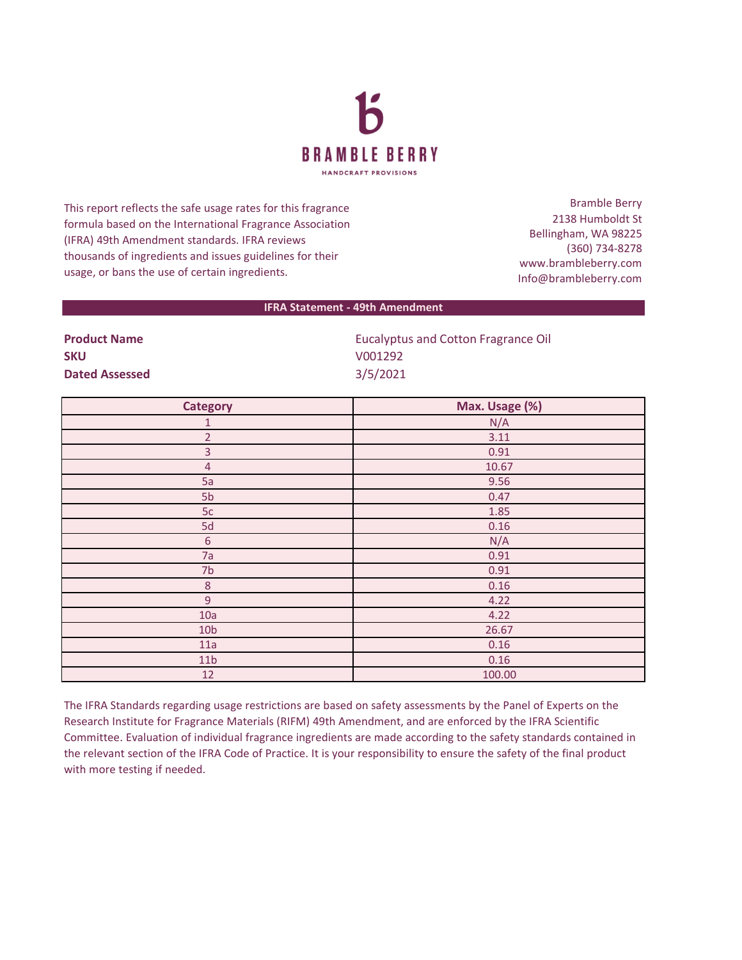

This report reflects the safe usage rates for this fragrance formula based on the International Fragrance Association (IFRA) 49th Amendment standards. IFRA reviews thousands of ingredients and issues guidelines for their usage, or bans the use of certain ingredients.

Bramble Berry 2138 Humboldt St Bellingham, WA 98225 (360) 734-8278 www.brambleberry.com Info@brambleberry.com

## **IFRA Statement - 49th Amendment**

| <b>Product Name</b>   | <b>Eucalyptus and Cotton Fragrance Oil</b> |
|-----------------------|--------------------------------------------|
| <b>SKU</b>            | V001292                                    |
| <b>Dated Assessed</b> | 3/5/2021                                   |

| <b>Category</b> | Max. Usage (%) |
|-----------------|----------------|
| $\mathbf{1}$    | N/A            |
| $\overline{2}$  | 3.11           |
| $\overline{3}$  | 0.91           |
| $\overline{4}$  | 10.67          |
| 5a              | 9.56           |
| 5 <sub>b</sub>  | 0.47           |
| 5c              | 1.85           |
| 5d              | 0.16           |
| $\sqrt{6}$      | N/A            |
| 7a              | 0.91           |
| 7 <sub>b</sub>  | 0.91           |
| $\,8\,$         | 0.16           |
| $\overline{9}$  | 4.22           |
| 10a             | 4.22           |
| 10 <sub>b</sub> | 26.67          |
| 11a             | 0.16           |
| 11 <sub>b</sub> | 0.16           |
| 12              | 100.00         |

The IFRA Standards regarding usage restrictions are based on safety assessments by the Panel of Experts on the Research Institute for Fragrance Materials (RIFM) 49th Amendment, and are enforced by the IFRA Scientific Committee. Evaluation of individual fragrance ingredients are made according to the safety standards contained in the relevant section of the IFRA Code of Practice. It is your responsibility to ensure the safety of the final product with more testing if needed.